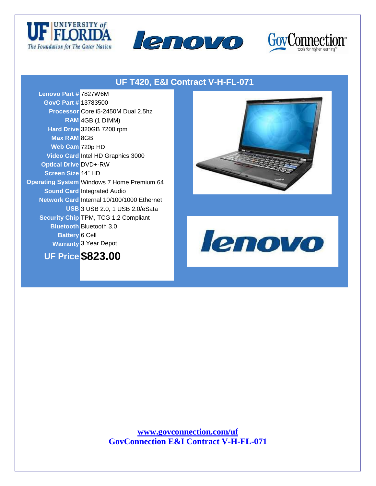





## **UF T420, E&I Contract V-H-FL-071**

**Lenovo Part #** 7827W6M **GovC Part #** 13783500 **Processor** Core i5-2450M Dual 2.5hz **RAM** 4GB (1 DIMM) **Hard Drive** 320GB 7200 rpm **Max RAM** 8GB **Web Cam** 720p HD **Video Card** Intel HD Graphics 3000 **Optical Drive** DVD+-RW **Screen Size** 14" HD **Operating System** Windows 7 Home Premium 64 **Sound Card** Integrated Audio **Network Card** Internal 10/100/1000 Ethernet **USB** 3 USB 2.0, 1 USB 2.0/eSata **Security Chip** TPM, TCG 1.2 Compliant **Bluetooth** Bluetooth 3.0 **Battery** 6 Cell **Warranty** 3 Year Depot







**www.govconnection.com/uf GovConnection E&I Contract V-H-FL-071**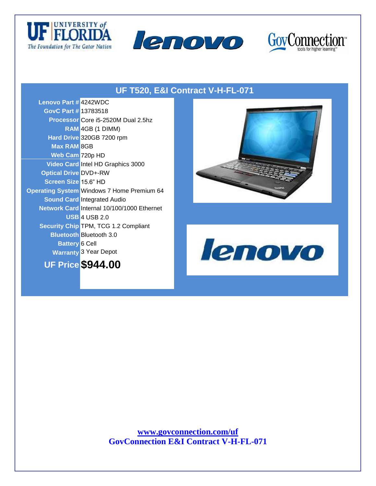





## **UF T520, E&I Contract V-H-FL-071**

| <b>Lenovo Part # 4242WDC</b> |                                                   |
|------------------------------|---------------------------------------------------|
| <b>GovC Part # 13783518</b>  |                                                   |
|                              | Processor Core i5-2520M Dual 2.5hz                |
|                              | RAM 4GB (1 DIMM)                                  |
|                              | Hard Drive 320GB 7200 rpm                         |
| <b>Max RAM 8GB</b>           |                                                   |
| Web Cam 720p HD              |                                                   |
|                              | Video Card Intel HD Graphics 3000                 |
| <b>Optical Drive DVD+-RW</b> |                                                   |
| Screen Size 15.6" HD         |                                                   |
|                              | <b>Operating System Windows 7 Home Premium 64</b> |
|                              | <b>Sound Card Integrated Audio</b>                |
|                              | Network Card Internal 10/100/1000 Ethernet        |
|                              | <b>USB 4 USB 2.0</b>                              |
|                              | <b>Security Chip TPM, TCG 1.2 Compliant</b>       |
|                              | <b>Bluetooth Bluetooth 3.0</b>                    |
| <b>Battery 6 Cell</b>        |                                                   |
|                              | <b>Warranty 3 Year Depot</b>                      |







**www.govconnection.com/uf GovConnection E&I Contract V-H-FL-071**